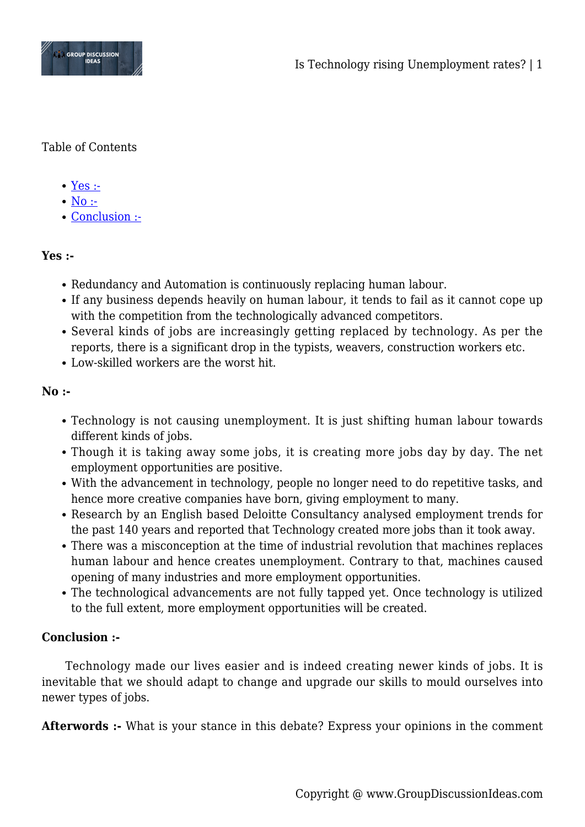

## Table of Contents

- $\bullet$  [Yes :-](#page--1-0)
- $\bullet$  [No :-](#page--1-0)
- [Conclusion :-](#page--1-0)

## **Yes :-**

- Redundancy and Automation is continuously replacing human labour.
- If any business depends heavily on human labour, it tends to fail as it cannot cope up with the competition from the technologically advanced competitors.
- Several kinds of jobs are increasingly getting replaced by technology. As per the reports, there is a significant drop in the typists, weavers, construction workers etc.
- Low-skilled workers are the worst hit.

## **No :-**

- Technology is not causing unemployment. It is just shifting human labour towards different kinds of jobs.
- Though it is taking away some jobs, it is creating more jobs day by day. The net employment opportunities are positive.
- With the advancement in technology, people no longer need to do repetitive tasks, and hence more creative companies have born, giving employment to many.
- Research by an English based Deloitte Consultancy analysed employment trends for the past 140 years and reported that Technology created more jobs than it took away.
- There was a misconception at the time of industrial revolution that machines replaces human labour and hence creates unemployment. Contrary to that, machines caused opening of many industries and more employment opportunities.
- The technological advancements are not fully tapped yet. Once technology is utilized to the full extent, more employment opportunities will be created.

## **Conclusion :-**

Technology made our lives easier and is indeed creating newer kinds of jobs. It is inevitable that we should adapt to change and upgrade our skills to mould ourselves into newer types of jobs.

**Afterwords :-** What is your stance in this debate? Express your opinions in the comment